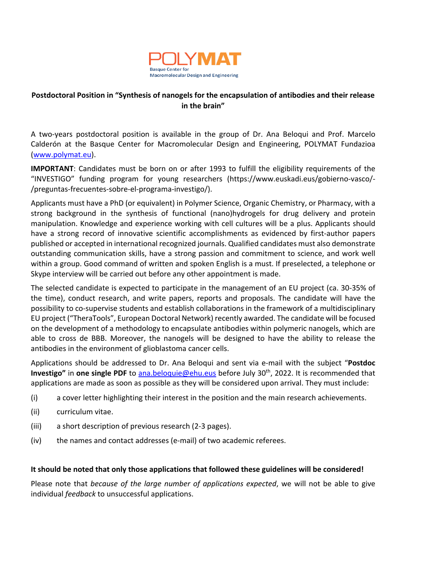

## **Postdoctoral Position in "Synthesis of nanogels for the encapsulation of antibodies and their release in the brain"**

A two-years postdoctoral position is available in the group of Dr. Ana Beloqui and Prof. Marcelo Calderón at the Basque Center for Macromolecular Design and Engineering, POLYMAT Fundazioa (www.polymat.eu).

**IMPORTANT**: Candidates must be born on or after 1993 to fulfill the eligibility requirements of the "INVESTIGO" funding program for young researchers (https://www.euskadi.eus/gobierno-vasco/- /preguntas-frecuentes-sobre-el-programa-investigo/).

Applicants must have a PhD (or equivalent) in Polymer Science, Organic Chemistry, or Pharmacy, with a strong background in the synthesis of functional (nano)hydrogels for drug delivery and protein manipulation. Knowledge and experience working with cell cultures will be a plus. Applicants should have a strong record of innovative scientific accomplishments as evidenced by first-author papers published or accepted in international recognized journals. Qualified candidates must also demonstrate outstanding communication skills, have a strong passion and commitment to science, and work well within a group. Good command of written and spoken English is a must. If preselected, a telephone or Skype interview will be carried out before any other appointment is made.

The selected candidate is expected to participate in the management of an EU project (ca. 30-35% of the time), conduct research, and write papers, reports and proposals. The candidate will have the possibility to co-supervise students and establish collaborations in the framework of a multidisciplinary EU project ("TheraTools", European Doctoral Network) recently awarded. The candidate will be focused on the development of a methodology to encapsulate antibodies within polymeric nanogels, which are able to cross de BBB. Moreover, the nanogels will be designed to have the ability to release the antibodies in the environment of glioblastoma cancer cells.

Applications should be addressed to Dr. Ana Beloqui and sent via e-mail with the subject "**Postdoc Investigo"** in **one single PDF** to ana.beloquie@ehu.eus before July 30th, 2022. It is recommended that applications are made as soon as possible as they will be considered upon arrival. They must include:

- (i) a cover letter highlighting their interest in the position and the main research achievements.
- (ii) curriculum vitae.
- (iii) a short description of previous research (2-3 pages).
- (iv) the names and contact addresses (e-mail) of two academic referees.

## **It should be noted that only those applications that followed these guidelines will be considered!**

Please note that *because of the large number of applications expected*, we will not be able to give individual *feedback* to unsuccessful applications.